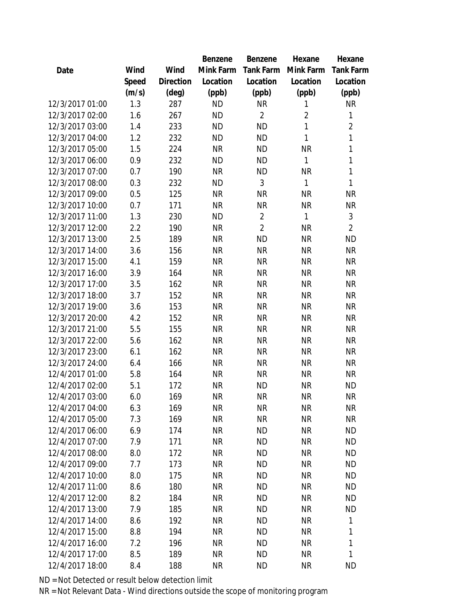|                 |       |                | Benzene   | Benzene        | Hexane         | Hexane           |
|-----------------|-------|----------------|-----------|----------------|----------------|------------------|
| Date            | Wind  | Wind           | Mink Farm | Tank Farm      | Mink Farm      | <b>Tank Farm</b> |
|                 | Speed | Direction      | Location  | Location       | Location       | Location         |
|                 | (m/s) | $(\text{deg})$ | (ppb)     | (ppb)          | (ppb)          | (ppb)            |
| 12/3/2017 01:00 | 1.3   | 287            | <b>ND</b> | <b>NR</b>      | 1              | <b>NR</b>        |
| 12/3/2017 02:00 | 1.6   | 267            | <b>ND</b> | $\overline{2}$ | $\overline{2}$ | $\mathbf{1}$     |
| 12/3/2017 03:00 | 1.4   | 233            | <b>ND</b> | <b>ND</b>      | 1              | $\overline{2}$   |
| 12/3/2017 04:00 | 1.2   | 232            | <b>ND</b> | <b>ND</b>      | 1              | $\mathbf{1}$     |
| 12/3/2017 05:00 | 1.5   | 224            | <b>NR</b> | <b>ND</b>      | <b>NR</b>      | $\mathbf{1}$     |
| 12/3/2017 06:00 | 0.9   | 232            | <b>ND</b> | <b>ND</b>      | 1              | $\mathbf{1}$     |
| 12/3/2017 07:00 | 0.7   | 190            | <b>NR</b> | <b>ND</b>      | <b>NR</b>      | $\mathbf 1$      |
| 12/3/2017 08:00 | 0.3   | 232            | <b>ND</b> | 3              | $\mathbf{1}$   | $\mathbf{1}$     |
| 12/3/2017 09:00 | 0.5   | 125            | <b>NR</b> | <b>NR</b>      | <b>NR</b>      | <b>NR</b>        |
| 12/3/2017 10:00 | 0.7   | 171            | <b>NR</b> | <b>NR</b>      | <b>NR</b>      | <b>NR</b>        |
| 12/3/2017 11:00 | 1.3   | 230            | <b>ND</b> | $\overline{2}$ | $\mathbf{1}$   | 3                |
| 12/3/2017 12:00 | 2.2   | 190            | <b>NR</b> | $\overline{2}$ | <b>NR</b>      | $\overline{2}$   |
| 12/3/2017 13:00 | 2.5   | 189            | <b>NR</b> | <b>ND</b>      | <b>NR</b>      | <b>ND</b>        |
| 12/3/2017 14:00 | 3.6   | 156            | <b>NR</b> | <b>NR</b>      | <b>NR</b>      | <b>NR</b>        |
| 12/3/2017 15:00 | 4.1   | 159            | <b>NR</b> | <b>NR</b>      | <b>NR</b>      | <b>NR</b>        |
| 12/3/2017 16:00 | 3.9   | 164            | <b>NR</b> | <b>NR</b>      | <b>NR</b>      | <b>NR</b>        |
| 12/3/2017 17:00 | 3.5   | 162            | <b>NR</b> | <b>NR</b>      | <b>NR</b>      | <b>NR</b>        |
| 12/3/2017 18:00 | 3.7   | 152            | <b>NR</b> | <b>NR</b>      | <b>NR</b>      | <b>NR</b>        |
| 12/3/2017 19:00 | 3.6   | 153            | <b>NR</b> | <b>NR</b>      | <b>NR</b>      | <b>NR</b>        |
| 12/3/2017 20:00 | 4.2   | 152            | <b>NR</b> | <b>NR</b>      | <b>NR</b>      | <b>NR</b>        |
| 12/3/2017 21:00 | 5.5   | 155            | <b>NR</b> | <b>NR</b>      | <b>NR</b>      | <b>NR</b>        |
| 12/3/2017 22:00 | 5.6   | 162            | <b>NR</b> | <b>NR</b>      | <b>NR</b>      | <b>NR</b>        |
| 12/3/2017 23:00 | 6.1   | 162            | <b>NR</b> | <b>NR</b>      | <b>NR</b>      | <b>NR</b>        |
| 12/3/2017 24:00 | 6.4   | 166            | <b>NR</b> | <b>NR</b>      | <b>NR</b>      | <b>NR</b>        |
| 12/4/2017 01:00 | 5.8   | 164            | <b>NR</b> | <b>NR</b>      | <b>NR</b>      | <b>NR</b>        |
| 12/4/2017 02:00 | 5.1   | 172            | <b>NR</b> | <b>ND</b>      | <b>NR</b>      | <b>ND</b>        |
| 12/4/2017 03:00 | 6.0   | 169            | <b>NR</b> | <b>NR</b>      | <b>NR</b>      | <b>NR</b>        |
| 12/4/2017 04:00 | 6.3   | 169            | <b>NR</b> | NR             | <b>NR</b>      | NR               |
| 12/4/2017 05:00 | 7.3   | 169            | <b>NR</b> | <b>NR</b>      | <b>NR</b>      | <b>NR</b>        |
| 12/4/2017 06:00 | 6.9   | 174            | <b>NR</b> | <b>ND</b>      | <b>NR</b>      | <b>ND</b>        |
| 12/4/2017 07:00 | 7.9   | 171            | <b>NR</b> | <b>ND</b>      | <b>NR</b>      | <b>ND</b>        |
| 12/4/2017 08:00 | 8.0   | 172            | <b>NR</b> | <b>ND</b>      | <b>NR</b>      | <b>ND</b>        |
| 12/4/2017 09:00 | 7.7   | 173            | <b>NR</b> | <b>ND</b>      | <b>NR</b>      | <b>ND</b>        |
| 12/4/2017 10:00 | 8.0   | 175            | <b>NR</b> | <b>ND</b>      | <b>NR</b>      | <b>ND</b>        |
| 12/4/2017 11:00 | 8.6   | 180            | <b>NR</b> | <b>ND</b>      | <b>NR</b>      | <b>ND</b>        |
| 12/4/2017 12:00 | 8.2   | 184            | <b>NR</b> | <b>ND</b>      | <b>NR</b>      | <b>ND</b>        |
| 12/4/2017 13:00 | 7.9   | 185            | <b>NR</b> | <b>ND</b>      | <b>NR</b>      | <b>ND</b>        |
| 12/4/2017 14:00 | 8.6   | 192            | <b>NR</b> | <b>ND</b>      | <b>NR</b>      | 1                |
| 12/4/2017 15:00 | 8.8   | 194            | <b>NR</b> | <b>ND</b>      | <b>NR</b>      | 1                |
| 12/4/2017 16:00 | 7.2   | 196            | <b>NR</b> | <b>ND</b>      | <b>NR</b>      | 1                |
| 12/4/2017 17:00 | 8.5   | 189            | <b>NR</b> | <b>ND</b>      | <b>NR</b>      | 1                |
| 12/4/2017 18:00 | 8.4   | 188            | <b>NR</b> | <b>ND</b>      | <b>NR</b>      | <b>ND</b>        |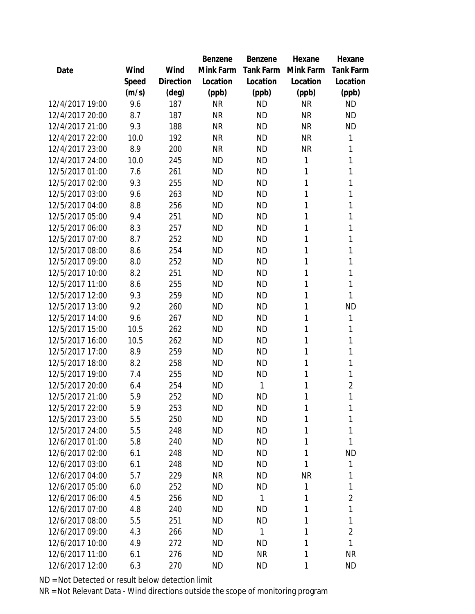|                 |       |                | Benzene   | Benzene   | Hexane    | Hexane           |
|-----------------|-------|----------------|-----------|-----------|-----------|------------------|
| Date            | Wind  | Wind           | Mink Farm | Tank Farm | Mink Farm | <b>Tank Farm</b> |
|                 | Speed | Direction      | Location  | Location  | Location  | Location         |
|                 | (m/s) | $(\text{deg})$ | (ppb)     | (ppb)     | (ppb)     | (ppb)            |
| 12/4/2017 19:00 | 9.6   | 187            | <b>NR</b> | <b>ND</b> | <b>NR</b> | <b>ND</b>        |
| 12/4/2017 20:00 | 8.7   | 187            | <b>NR</b> | <b>ND</b> | <b>NR</b> | <b>ND</b>        |
| 12/4/2017 21:00 | 9.3   | 188            | <b>NR</b> | <b>ND</b> | <b>NR</b> | <b>ND</b>        |
| 12/4/2017 22:00 | 10.0  | 192            | <b>NR</b> | <b>ND</b> | <b>NR</b> | 1                |
| 12/4/2017 23:00 | 8.9   | 200            | <b>NR</b> | <b>ND</b> | <b>NR</b> | 1                |
| 12/4/2017 24:00 | 10.0  | 245            | <b>ND</b> | <b>ND</b> | 1         | 1                |
| 12/5/2017 01:00 | 7.6   | 261            | <b>ND</b> | ΝD        | 1         | 1                |
| 12/5/2017 02:00 | 9.3   | 255            | <b>ND</b> | <b>ND</b> | 1         | 1                |
| 12/5/2017 03:00 | 9.6   | 263            | <b>ND</b> | <b>ND</b> | 1         | 1                |
| 12/5/2017 04:00 | 8.8   | 256            | <b>ND</b> | <b>ND</b> | 1         | 1                |
| 12/5/2017 05:00 | 9.4   | 251            | <b>ND</b> | <b>ND</b> | 1         | 1                |
| 12/5/2017 06:00 | 8.3   | 257            | <b>ND</b> | <b>ND</b> | 1         | 1                |
| 12/5/2017 07:00 | 8.7   | 252            | <b>ND</b> | <b>ND</b> | 1         | 1                |
| 12/5/2017 08:00 | 8.6   | 254            | <b>ND</b> | <b>ND</b> | 1         | 1                |
| 12/5/2017 09:00 | 8.0   | 252            | <b>ND</b> | <b>ND</b> | 1         | 1                |
| 12/5/2017 10:00 | 8.2   | 251            | <b>ND</b> | <b>ND</b> | 1         | 1                |
| 12/5/2017 11:00 | 8.6   | 255            | <b>ND</b> | <b>ND</b> | 1         | 1                |
| 12/5/2017 12:00 | 9.3   | 259            | <b>ND</b> | <b>ND</b> | 1         | 1                |
| 12/5/2017 13:00 | 9.2   | 260            | <b>ND</b> | <b>ND</b> | 1         | <b>ND</b>        |
| 12/5/2017 14:00 | 9.6   | 267            | <b>ND</b> | <b>ND</b> | 1         | 1                |
| 12/5/2017 15:00 | 10.5  | 262            | <b>ND</b> | <b>ND</b> | 1         | 1                |
| 12/5/2017 16:00 | 10.5  | 262            | <b>ND</b> | <b>ND</b> | 1         | 1                |
| 12/5/2017 17:00 | 8.9   | 259            | <b>ND</b> | <b>ND</b> | 1         | 1                |
| 12/5/2017 18:00 | 8.2   | 258            | <b>ND</b> | <b>ND</b> | 1         | 1                |
| 12/5/2017 19:00 | 7.4   | 255            | <b>ND</b> | <b>ND</b> | 1         | 1                |
| 12/5/2017 20:00 | 6.4   | 254            | <b>ND</b> | 1         | 1         | $\overline{2}$   |
| 12/5/2017 21:00 | 5.9   | 252            | <b>ND</b> | ΝD        | 1         | 1                |
| 12/5/2017 22:00 | 5.9   | 253            | <b>ND</b> | ΝD        | 1         | 1                |
| 12/5/2017 23:00 | 5.5   | 250            | <b>ND</b> | <b>ND</b> | 1         | 1                |
| 12/5/2017 24:00 | 5.5   | 248            | <b>ND</b> | <b>ND</b> | 1         | 1                |
| 12/6/2017 01:00 | 5.8   | 240            | <b>ND</b> | <b>ND</b> | 1         | 1                |
| 12/6/2017 02:00 | 6.1   | 248            | <b>ND</b> | ΝD        | 1         | <b>ND</b>        |
| 12/6/2017 03:00 | 6.1   | 248            | <b>ND</b> | <b>ND</b> | 1         | 1                |
| 12/6/2017 04:00 | 5.7   | 229            | <b>NR</b> | <b>ND</b> | <b>NR</b> | 1                |
| 12/6/2017 05:00 | 6.0   | 252            | <b>ND</b> | <b>ND</b> | 1         | 1                |
| 12/6/2017 06:00 | 4.5   | 256            | <b>ND</b> | 1         | 1         | $\overline{2}$   |
| 12/6/2017 07:00 | 4.8   | 240            | <b>ND</b> | ΝD        | 1         | 1                |
| 12/6/2017 08:00 | 5.5   | 251            | <b>ND</b> | ΝD        | 1         | 1                |
| 12/6/2017 09:00 | 4.3   | 266            | <b>ND</b> | 1         | 1         | $\overline{2}$   |
| 12/6/2017 10:00 | 4.9   | 272            | <b>ND</b> | ND        | 1         | 1                |
| 12/6/2017 11:00 | 6.1   | 276            | <b>ND</b> | NR        | 1         | <b>NR</b>        |
| 12/6/2017 12:00 | 6.3   | 270            | <b>ND</b> | <b>ND</b> | 1         | <b>ND</b>        |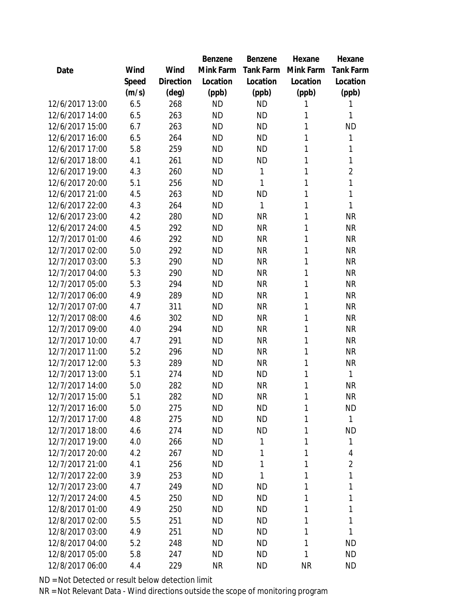|                 |       |           | Benzene   | Benzene   | Hexane    | Hexane         |
|-----------------|-------|-----------|-----------|-----------|-----------|----------------|
| Date            | Wind  | Wind      | Mink Farm | Tank Farm | Mink Farm | Tank Farm      |
|                 | Speed | Direction | Location  | Location  | Location  | Location       |
|                 | (m/s) | (deg)     | (ppb)     | (ppb)     | (ppb)     | (ppb)          |
| 12/6/2017 13:00 | 6.5   | 268       | <b>ND</b> | <b>ND</b> | 1         | 1              |
| 12/6/2017 14:00 | 6.5   | 263       | <b>ND</b> | <b>ND</b> | 1         | 1              |
| 12/6/2017 15:00 | 6.7   | 263       | <b>ND</b> | <b>ND</b> | 1         | <b>ND</b>      |
| 12/6/2017 16:00 | 6.5   | 264       | <b>ND</b> | <b>ND</b> | 1         | 1              |
| 12/6/2017 17:00 | 5.8   | 259       | <b>ND</b> | <b>ND</b> | 1         | $\mathbf{1}$   |
| 12/6/2017 18:00 | 4.1   | 261       | <b>ND</b> | <b>ND</b> | 1         | 1              |
| 12/6/2017 19:00 | 4.3   | 260       | <b>ND</b> | 1         | 1         | $\overline{2}$ |
| 12/6/2017 20:00 | 5.1   | 256       | <b>ND</b> | 1         | 1         | $\mathbf{1}$   |
| 12/6/2017 21:00 | 4.5   | 263       | <b>ND</b> | <b>ND</b> | 1         | 1              |
| 12/6/2017 22:00 | 4.3   | 264       | <b>ND</b> | 1         | 1         | 1              |
| 12/6/2017 23:00 | 4.2   | 280       | <b>ND</b> | <b>NR</b> | 1         | <b>NR</b>      |
| 12/6/2017 24:00 | 4.5   | 292       | <b>ND</b> | <b>NR</b> | 1         | <b>NR</b>      |
| 12/7/2017 01:00 | 4.6   | 292       | <b>ND</b> | <b>NR</b> | 1         | <b>NR</b>      |
| 12/7/2017 02:00 | 5.0   | 292       | <b>ND</b> | <b>NR</b> | 1         | <b>NR</b>      |
| 12/7/2017 03:00 | 5.3   | 290       | <b>ND</b> | <b>NR</b> | 1         | <b>NR</b>      |
| 12/7/2017 04:00 | 5.3   | 290       | <b>ND</b> | <b>NR</b> | 1         | <b>NR</b>      |
| 12/7/2017 05:00 | 5.3   | 294       | <b>ND</b> | <b>NR</b> | 1         | <b>NR</b>      |
| 12/7/2017 06:00 | 4.9   | 289       | <b>ND</b> | <b>NR</b> | 1         | <b>NR</b>      |
| 12/7/2017 07:00 | 4.7   | 311       | <b>ND</b> | <b>NR</b> | 1         | <b>NR</b>      |
| 12/7/2017 08:00 | 4.6   | 302       | <b>ND</b> | <b>NR</b> | 1         | <b>NR</b>      |
| 12/7/2017 09:00 | 4.0   | 294       | <b>ND</b> | <b>NR</b> | 1         | <b>NR</b>      |
| 12/7/2017 10:00 | 4.7   | 291       | <b>ND</b> | <b>NR</b> | 1         | <b>NR</b>      |
| 12/7/2017 11:00 | 5.2   | 296       | <b>ND</b> | <b>NR</b> | 1         | <b>NR</b>      |
| 12/7/2017 12:00 | 5.3   | 289       | <b>ND</b> | <b>NR</b> | 1         | <b>NR</b>      |
| 12/7/2017 13:00 | 5.1   | 274       | <b>ND</b> | <b>ND</b> | 1         | 1              |
| 12/7/2017 14:00 | 5.0   | 282       | <b>ND</b> | <b>NR</b> | 1         | <b>NR</b>      |
| 12/7/2017 15:00 | 5.1   | 282       | <b>ND</b> | <b>NR</b> | 1         | <b>NR</b>      |
| 12/7/2017 16:00 | 5.0   | 275       | <b>ND</b> | <b>ND</b> | 1         | <b>ND</b>      |
| 12/7/2017 17:00 | 4.8   | 275       | <b>ND</b> | <b>ND</b> | 1         | 1              |
| 12/7/2017 18:00 | 4.6   | 274       | <b>ND</b> | <b>ND</b> | 1         | <b>ND</b>      |
| 12/7/2017 19:00 | 4.0   | 266       | <b>ND</b> | 1         | 1         | 1              |
| 12/7/2017 20:00 | 4.2   | 267       | <b>ND</b> | 1         | 1         | 4              |
| 12/7/2017 21:00 | 4.1   | 256       | <b>ND</b> | 1         | 1         | $\overline{2}$ |
| 12/7/2017 22:00 | 3.9   | 253       | <b>ND</b> | 1         | 1         | 1              |
| 12/7/2017 23:00 | 4.7   | 249       | <b>ND</b> | <b>ND</b> | 1         | 1              |
| 12/7/2017 24:00 | 4.5   | 250       | <b>ND</b> | <b>ND</b> | 1         | 1              |
| 12/8/2017 01:00 | 4.9   | 250       | <b>ND</b> | <b>ND</b> | 1         | 1              |
| 12/8/2017 02:00 | 5.5   | 251       | <b>ND</b> | <b>ND</b> | 1         | 1              |
| 12/8/2017 03:00 | 4.9   | 251       | <b>ND</b> | <b>ND</b> | 1         | 1              |
| 12/8/2017 04:00 | 5.2   | 248       | <b>ND</b> | <b>ND</b> | 1         | <b>ND</b>      |
| 12/8/2017 05:00 | 5.8   | 247       | <b>ND</b> | <b>ND</b> | 1         | <b>ND</b>      |
| 12/8/2017 06:00 | 4.4   | 229       | <b>NR</b> | <b>ND</b> | <b>NR</b> | <b>ND</b>      |
|                 |       |           |           |           |           |                |